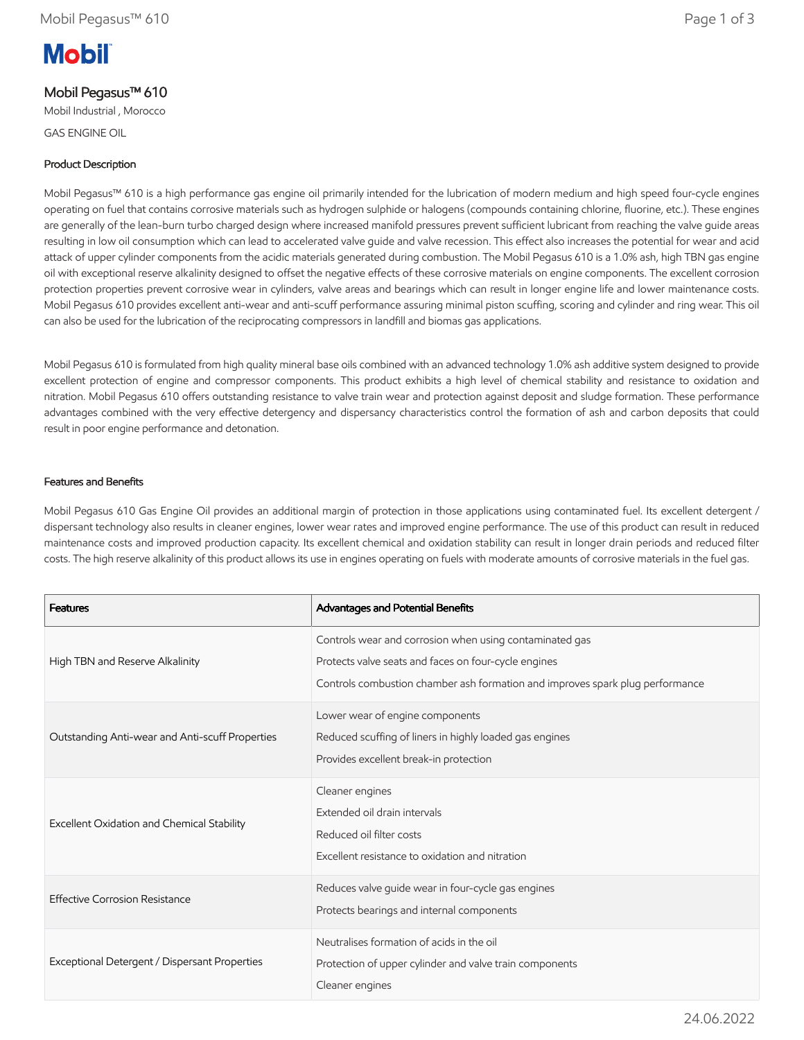# **Mobil**

## Mobil Pegasus™ 610

Mobil Industrial , Morocco GAS ENGINE OIL

## Product Description

Mobil Pegasus™ 610 is a high performance gas engine oil primarily intended for the lubrication of modern medium and high speed four-cycle engines operating on fuel that contains corrosive materials such as hydrogen sulphide or halogens (compounds containing chlorine, fluorine, etc.). These engines are generally of the lean-burn turbo charged design where increased manifold pressures prevent sufficient lubricant from reaching the valve guide areas resulting in low oil consumption which can lead to accelerated valve guide and valve recession. This effect also increases the potential for wear and acid attack of upper cylinder components from the acidic materials generated during combustion. The Mobil Pegasus 610 is a 1.0% ash, high TBN gas engine oil with exceptional reserve alkalinity designed to offset the negative effects of these corrosive materials on engine components. The excellent corrosion protection properties prevent corrosive wear in cylinders, valve areas and bearings which can result in longer engine life and lower maintenance costs. Mobil Pegasus 610 provides excellent anti-wear and anti-scuff performance assuring minimal piston scuffing, scoring and cylinder and ring wear. This oil can also be used for the lubrication of the reciprocating compressors in landfill and biomas gas applications.

Mobil Pegasus 610 is formulated from high quality mineral base oils combined with an advanced technology 1.0% ash additive system designed to provide excellent protection of engine and compressor components. This product exhibits a high level of chemical stability and resistance to oxidation and nitration. Mobil Pegasus 610 offers outstanding resistance to valve train wear and protection against deposit and sludge formation. These performance advantages combined with the very effective detergency and dispersancy characteristics control the formation of ash and carbon deposits that could result in poor engine performance and detonation.

#### Features and Benefits

Mobil Pegasus 610 Gas Engine Oil provides an additional margin of protection in those applications using contaminated fuel. Its excellent detergent / dispersant technology also results in cleaner engines, lower wear rates and improved engine performance. The use of this product can result in reduced maintenance costs and improved production capacity. Its excellent chemical and oxidation stability can result in longer drain periods and reduced filter costs. The high reserve alkalinity of this product allows its use in engines operating on fuels with moderate amounts of corrosive materials in the fuel gas.

| <b>Features</b>                                 | Advantages and Potential Benefits                                                                                                                                                                |
|-------------------------------------------------|--------------------------------------------------------------------------------------------------------------------------------------------------------------------------------------------------|
| High TBN and Reserve Alkalinity                 | Controls wear and corrosion when using contaminated gas<br>Protects valve seats and faces on four-cycle engines<br>Controls combustion chamber ash formation and improves spark plug performance |
| Outstanding Anti-wear and Anti-scuff Properties | Lower wear of engine components<br>Reduced scuffing of liners in highly loaded gas engines<br>Provides excellent break-in protection                                                             |
| Excellent Oxidation and Chemical Stability      | Cleaner engines<br>Extended oil drain intervals<br>Reduced oil filter costs<br>Excellent resistance to oxidation and nitration                                                                   |
| <b>Effective Corrosion Resistance</b>           | Reduces valve guide wear in four-cycle gas engines<br>Protects bearings and internal components                                                                                                  |
| Exceptional Detergent / Dispersant Properties   | Neutralises formation of acids in the oil<br>Protection of upper cylinder and valve train components<br>Cleaner engines                                                                          |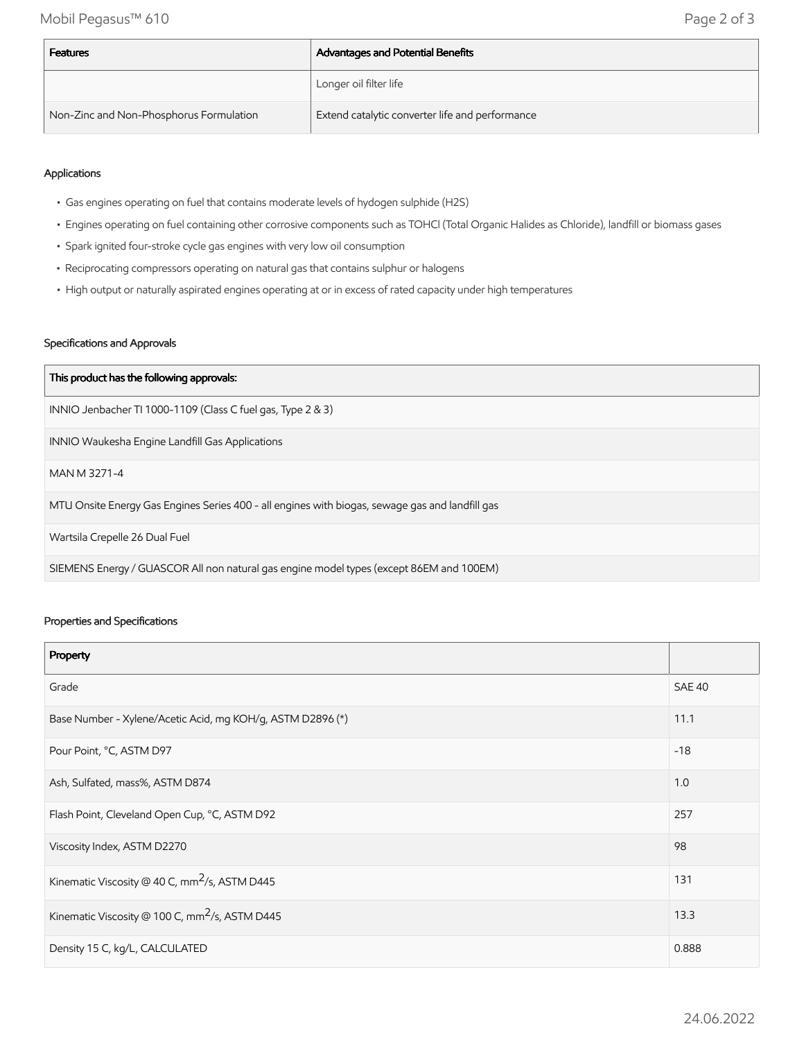Mobil Pegasus™ 610 Page 2 of 3

| Features                                | Advantages and Potential Benefits               |
|-----------------------------------------|-------------------------------------------------|
|                                         | Longer oil filter life                          |
| Non-Zinc and Non-Phosphorus Formulation | Extend catalytic converter life and performance |

#### Applications

- Gas engines operating on fuel that contains moderate levels of hydogen sulphide (H2S)
- Engines operating on fuel containing other corrosive components such as TOHCl (Total Organic Halides as Chloride), landfill or biomass gases
- Spark ignited four-stroke cycle gas engines with very low oil consumption
- Reciprocating compressors operating on natural gas that contains sulphur or halogens
- High output or naturally aspirated engines operating at or in excess of rated capacity under high temperatures

#### Specifications and Approvals

| This product has the following approvals:                                                       |  |
|-------------------------------------------------------------------------------------------------|--|
| INNIO Jenbacher TI 1000-1109 (Class C fuel gas, Type 2 & 3)                                     |  |
| INNIO Waukesha Engine Landfill Gas Applications                                                 |  |
| MAN M 3271-4                                                                                    |  |
| MTU Onsite Energy Gas Engines Series 400 - all engines with biogas, sewage gas and landfill gas |  |
| Wartsila Crepelle 26 Dual Fuel                                                                  |  |
| SIEMENS Energy / GUASCOR All non natural gas engine model types (except 86EM and 100EM)         |  |

#### Properties and Specifications

| Property                                                   |               |
|------------------------------------------------------------|---------------|
| Grade                                                      | <b>SAE 40</b> |
| Base Number - Xylene/Acetic Acid, mg KOH/g, ASTM D2896 (*) | 11.1          |
| Pour Point, °C, ASTM D97                                   | $-18$         |
| Ash, Sulfated, mass%, ASTM D874                            | 1.0           |
| Flash Point, Cleveland Open Cup, °C, ASTM D92              | 257           |
| Viscosity Index, ASTM D2270                                | 98            |
| Kinematic Viscosity @ 40 C, mm <sup>2</sup> /s, ASTM D445  | 131           |
| Kinematic Viscosity @ 100 C, mm <sup>2</sup> /s, ASTM D445 | 13.3          |
| Density 15 C, kg/L, CALCULATED                             | 0.888         |